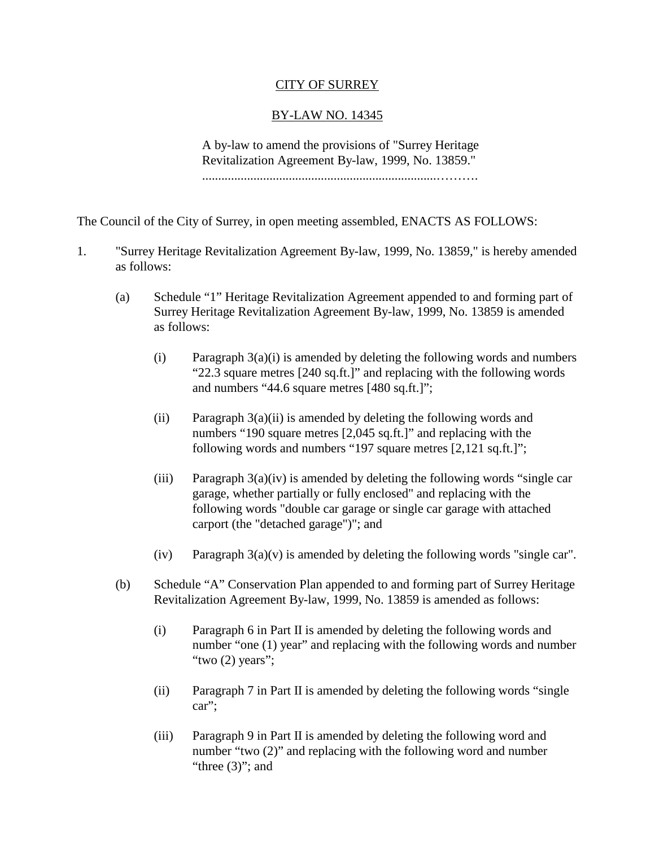## CITY OF SURREY

## BY-LAW NO. 14345

A by-law to amend the provisions of "Surrey Heritage Revitalization Agreement By-law, 1999, No. 13859."

.........................................................................……….

The Council of the City of Surrey, in open meeting assembled, ENACTS AS FOLLOWS:

- 1. "Surrey Heritage Revitalization Agreement By-law, 1999, No. 13859," is hereby amended as follows:
	- (a) Schedule "1" Heritage Revitalization Agreement appended to and forming part of Surrey Heritage Revitalization Agreement By-law, 1999, No. 13859 is amended as follows:
		- (i) Paragraph  $3(a)(i)$  is amended by deleting the following words and numbers "22.3 square metres [240 sq.ft.]" and replacing with the following words and numbers "44.6 square metres [480 sq.ft.]";
		- (ii) Paragraph  $3(a)(ii)$  is amended by deleting the following words and numbers "190 square metres [2,045 sq.ft.]" and replacing with the following words and numbers "197 square metres [2,121 sq.ft.]";
		- (iii) Paragraph  $3(a)(iv)$  is amended by deleting the following words "single car garage, whether partially or fully enclosed" and replacing with the following words "double car garage or single car garage with attached carport (the "detached garage")"; and
		- (iv) Paragraph  $3(a)(v)$  is amended by deleting the following words "single car".
	- (b) Schedule "A" Conservation Plan appended to and forming part of Surrey Heritage Revitalization Agreement By-law, 1999, No. 13859 is amended as follows:
		- (i) Paragraph 6 in Part II is amended by deleting the following words and number "one (1) year" and replacing with the following words and number "two  $(2)$  years":
		- (ii) Paragraph 7 in Part II is amended by deleting the following words "single car";
		- (iii) Paragraph 9 in Part II is amended by deleting the following word and number "two (2)" and replacing with the following word and number "three  $(3)$ "; and